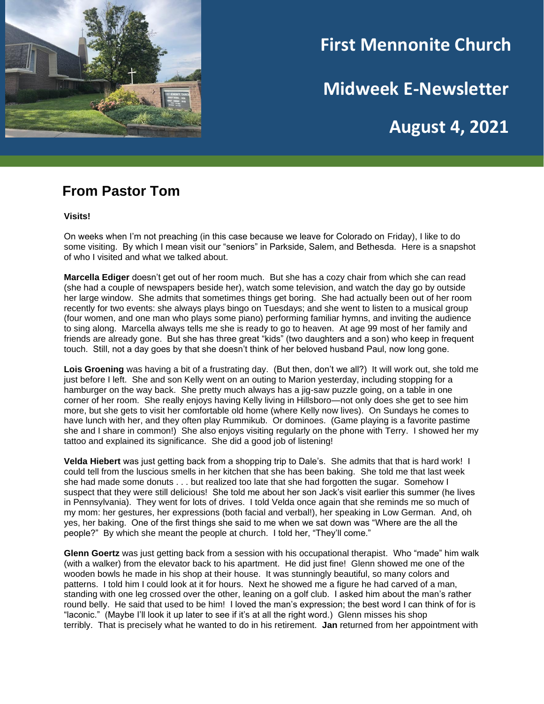

# **First Mennonite Church**

**Midweek E-Newsletter**

**August 4, 2021**

#### **From Pastor Tom**

**Visits!**

On weeks when I'm not preaching (in this case because we leave for Colorado on Friday), I like to do some visiting. By which I mean visit our "seniors" in Parkside, Salem, and Bethesda. Here is a snapshot of who I visited and what we talked about.

**Marcella Ediger** doesn't get out of her room much. But she has a cozy chair from which she can read (she had a couple of newspapers beside her), watch some television, and watch the day go by outside her large window. She admits that sometimes things get boring. She had actually been out of her room recently for two events: she always plays bingo on Tuesdays; and she went to listen to a musical group (four women, and one man who plays some piano) performing familiar hymns, and inviting the audience to sing along. Marcella always tells me she is ready to go to heaven. At age 99 most of her family and friends are already gone. But she has three great "kids" (two daughters and a son) who keep in frequent touch. Still, not a day goes by that she doesn't think of her beloved husband Paul, now long gone.

**Lois Groening** was having a bit of a frustrating day. (But then, don't we all?) It will work out, she told me just before I left. She and son Kelly went on an outing to Marion yesterday, including stopping for a hamburger on the way back. She pretty much always has a jig-saw puzzle going, on a table in one corner of her room. She really enjoys having Kelly living in Hillsboro—not only does she get to see him more, but she gets to visit her comfortable old home (where Kelly now lives). On Sundays he comes to have lunch with her, and they often play Rummikub. Or dominoes. (Game playing is a favorite pastime she and I share in common!) She also enjoys visiting regularly on the phone with Terry. I showed her my tattoo and explained its significance. She did a good job of listening!

**Velda Hiebert** was just getting back from a shopping trip to Dale's. She admits that that is hard work! I could tell from the luscious smells in her kitchen that she has been baking. She told me that last week she had made some donuts . . . but realized too late that she had forgotten the sugar. Somehow I suspect that they were still delicious! She told me about her son Jack's visit earlier this summer (he lives in Pennsylvania). They went for lots of drives. I told Velda once again that she reminds me so much of my mom: her gestures, her expressions (both facial and verbal!), her speaking in Low German. And, oh yes, her baking. One of the first things she said to me when we sat down was "Where are the all the people?" By which she meant the people at church. I told her, "They'll come."

**Glenn Goertz** was just getting back from a session with his occupational therapist. Who "made" him walk (with a walker) from the elevator back to his apartment. He did just fine! Glenn showed me one of the wooden bowls he made in his shop at their house. It was stunningly beautiful, so many colors and patterns. I told him I could look at it for hours. Next he showed me a figure he had carved of a man, standing with one leg crossed over the other, leaning on a golf club. I asked him about the man's rather round belly. He said that used to be him! I loved the man's expression; the best word I can think of for is "laconic." (Maybe I'll look it up later to see if it's at all the right word.) Glenn misses his shop terribly. That is precisely what he wanted to do in his retirement. **Jan** returned from her appointment with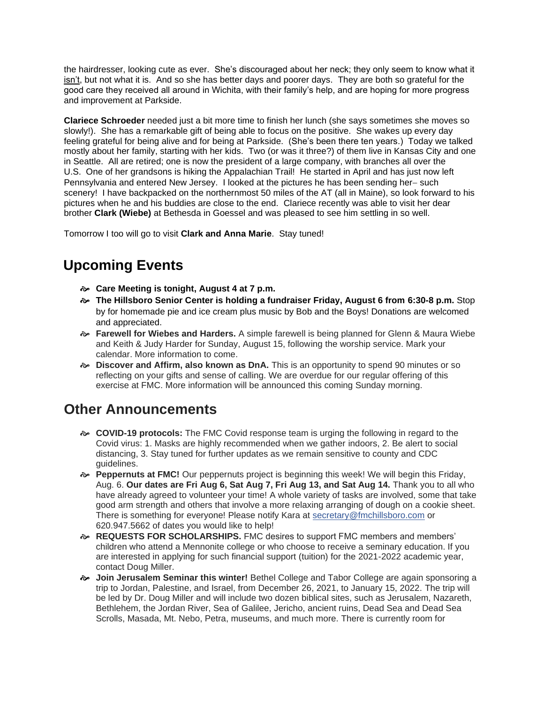the hairdresser, looking cute as ever. She's discouraged about her neck; they only seem to know what it isn't, but not what it is. And so she has better days and poorer days. They are both so grateful for the good care they received all around in Wichita, with their family's help, and are hoping for more progress and improvement at Parkside.

**Clariece Schroeder** needed just a bit more time to finish her lunch (she says sometimes she moves so slowly!). She has a remarkable gift of being able to focus on the positive. She wakes up every day feeling grateful for being alive and for being at Parkside. (She's been there ten years.) Today we talked mostly about her family, starting with her kids. Two (or was it three?) of them live in Kansas City and one in Seattle. All are retired; one is now the president of a large company, with branches all over the U.S. One of her grandsons is hiking the Appalachian Trail! He started in April and has just now left Pennsylvania and entered New Jersey. I looked at the pictures he has been sending her− such scenery! I have backpacked on the northernmost 50 miles of the AT (all in Maine), so look forward to his pictures when he and his buddies are close to the end. Clariece recently was able to visit her dear brother **Clark (Wiebe)** at Bethesda in Goessel and was pleased to see him settling in so well.

Tomorrow I too will go to visit **Clark and Anna Marie**. Stay tuned!

# **Upcoming Events**

- **Care Meeting is tonight, August 4 at 7 p.m.**
- **The Hillsboro Senior Center is holding a fundraiser Friday, August 6 from 6:30-8 p.m.** Stop by for homemade pie and ice cream plus music by Bob and the Boys! Donations are welcomed and appreciated.
- **Farewell for Wiebes and Harders.** A simple farewell is being planned for Glenn & Maura Wiebe and Keith & Judy Harder for Sunday, August 15, following the worship service. Mark your calendar. More information to come.
- **Discover and Affirm, also known as DnA.** This is an opportunity to spend 90 minutes or so reflecting on your gifts and sense of calling. We are overdue for our regular offering of this exercise at FMC. More information will be announced this coming Sunday morning.

## **Other Announcements**

- **COVID-19 protocols:** The FMC Covid response team is urging the following in regard to the Covid virus: 1. Masks are highly recommended when we gather indoors, 2. Be alert to social distancing, 3. Stay tuned for further updates as we remain sensitive to county and CDC guidelines.
- **Peppernuts at FMC!** Our peppernuts project is beginning this week! We will begin this Friday, Aug. 6. **Our dates are Fri Aug 6, Sat Aug 7, Fri Aug 13, and Sat Aug 14.** Thank you to all who have already agreed to volunteer your time! A whole variety of tasks are involved, some that take good arm strength and others that involve a more relaxing arranging of dough on a cookie sheet. There is something for everyone! Please notify Kara at secretary@fmchillsboro.com or 620.947.5662 of dates you would like to help!
- **REQUESTS FOR SCHOLARSHIPS.** FMC desires to support FMC members and members' children who attend a Mennonite college or who choose to receive a seminary education. If you are interested in applying for such financial support (tuition) for the 2021-2022 academic year, contact Doug Miller.
- **Join Jerusalem Seminar this winter!** Bethel College and Tabor College are again sponsoring a trip to Jordan, Palestine, and Israel, from December 26, 2021, to January 15, 2022. The trip will be led by Dr. Doug Miller and will include two dozen biblical sites, such as Jerusalem, Nazareth, Bethlehem, the Jordan River, Sea of Galilee, Jericho, ancient ruins, Dead Sea and Dead Sea Scrolls, Masada, Mt. Nebo, Petra, museums, and much more. There is currently room for